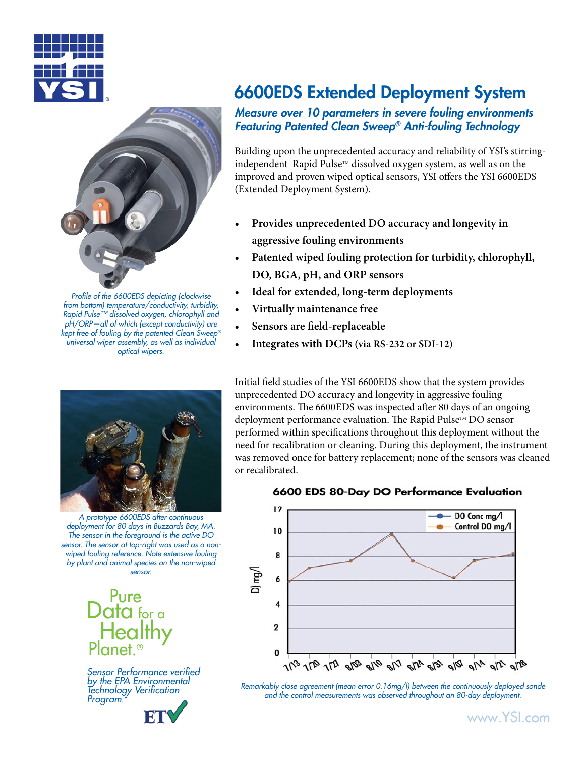



*Profile of the 6600EDS depicting (clockwise from bottom) temperature/conductivity, turbidity, Rapid Pulse™ dissolved oxygen, chlorophyll and pH/ORP—all of which (except conductivity) are kept free of fouling by the patented Clean Sweep® universal wiper assembly, as well as individual optical wipers.*



*A prototype 6600EDS after continuous deployment for 80 days in Buzzards Bay, MA. The sensor in the foreground is the active DO sensor. The sensor at top-right was used as a nonwiped fouling reference. Note extensive fouling by plant and animal species on the non-wiped sensor.*



*Sensor Performance verified by the EPA Environmental Technology Verification Program.\**

# 6600EDS Extended Deployment System

*Measure over 10 parameters in severe fouling environments Featuring Patented Clean Sweep® Anti-fouling Technology*

Building upon the unprecedented accuracy and reliability of YSI's stirringindependent Rapid Pulse™ dissolved oxygen system, as well as on the improved and proven wiped optical sensors, YSI offers the YSI 6600EDS (Extended Deployment System).

- **Provides unprecedented DO accuracy and longevity in aggressive fouling environments •**
- **Patented wiped fouling protection for turbidity, chlorophyll, DO, BGA, pH, and ORP sensors •**
- **Ideal for extended, long-term deployments •**
- **Virtually maintenance free •**
- **Sensors are field-replaceable •**
- **Integrates with DCPs (via RS-232 or SDI-12) •**

Initial field studies of the YSI 6600EDS show that the system provides unprecedented DO accuracy and longevity in aggressive fouling environments. The 6600EDS was inspected after 80 days of an ongoing deployment performance evaluation. The Rapid Pulse™ DO sensor performed within specifications throughout this deployment without the need for recalibration or cleaning. During this deployment, the instrument was removed once for battery replacement; none of the sensors was cleaned or recalibrated.

#### 6600 EDS 80-Day DO Performance Evaluation



*Remarkably close agreement (mean error 0.16mg/l) between the continuously deployed sonde and the control measurements was observed throughout an 80-day deployment.*